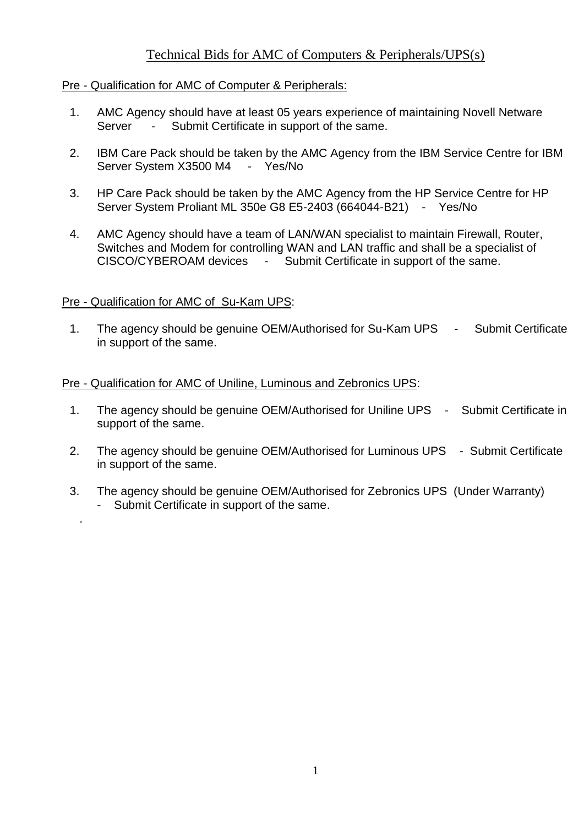# Technical Bids for AMC of Computers & Peripherals/UPS(s)

## Pre - Qualification for AMC of Computer & Peripherals:

- 1. AMC Agency should have at least 05 years experience of maintaining Novell Netware Server - Submit Certificate in support of the same.
- 2. IBM Care Pack should be taken by the AMC Agency from the IBM Service Centre for IBM Server System X3500 M4 - Yes/No
- 3. HP Care Pack should be taken by the AMC Agency from the HP Service Centre for HP Server System Proliant ML 350e G8 E5-2403 (664044-B21) - Yes/No
- 4. AMC Agency should have a team of LAN/WAN specialist to maintain Firewall, Router, Switches and Modem for controlling WAN and LAN traffic and shall be a specialist of CISCO/CYBEROAM devices - Submit Certificate in support of the same.

## Pre - Qualification for AMC of Su-Kam UPS:

.

1. The agency should be genuine OEM/Authorised for Su-Kam UPS - Submit Certificate in support of the same.

### Pre - Qualification for AMC of Uniline, Luminous and Zebronics UPS:

- 1. The agency should be genuine OEM/Authorised for Uniline UPS Submit Certificate in support of the same.
- 2. The agency should be genuine OEM/Authorised for Luminous UPS Submit Certificate in support of the same.
- 3. The agency should be genuine OEM/Authorised for Zebronics UPS (Under Warranty) Submit Certificate in support of the same.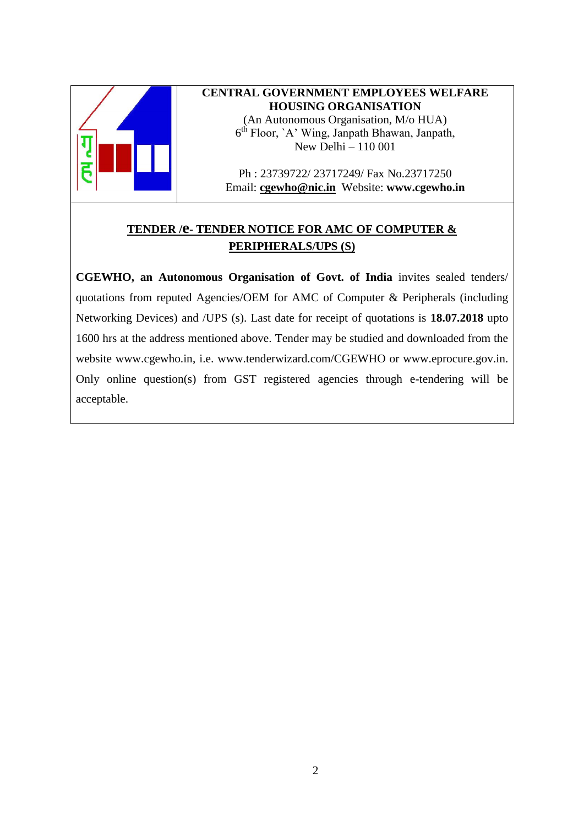

### **CENTRAL GOVERNMENT EMPLOYEES WELFARE HOUSING ORGANISATION**

(An Autonomous Organisation, M/o HUA) 6 th Floor, `A' Wing, Janpath Bhawan, Janpath, New Delhi – 110 001

Ph : 23739722/ 23717249/ Fax No.23717250 Email: **[cgewho@nic.in](mailto:cgewho@nic.in)** Website: **www.cgewho.in**

# **TENDER /e- TENDER NOTICE FOR AMC OF COMPUTER & PERIPHERALS/UPS (S)**

**CGEWHO, an Autonomous Organisation of Govt. of India** invites sealed tenders/ quotations from reputed Agencies/OEM for AMC of Computer & Peripherals (including Networking Devices) and /UPS (s). Last date for receipt of quotations is **18.07.2018** upto 1600 hrs at the address mentioned above. Tender may be studied and downloaded from the website [www.cgewho.in,](http://www.cgewho.in/) i.e. [www.tenderwizard.com/CGEWHO](http://www.tenderwizard.com/CGEWHO) or [www.eprocure.gov.in.](http://www.eprocure.gov.in/) Only online question(s) from GST registered agencies through e-tendering will be acceptable.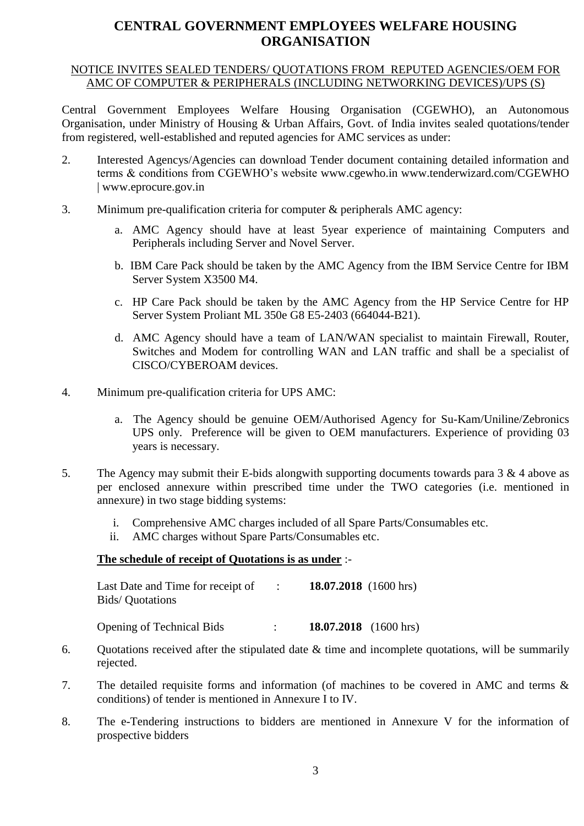# **CENTRAL GOVERNMENT EMPLOYEES WELFARE HOUSING ORGANISATION**

### NOTICE INVITES SEALED TENDERS/ QUOTATIONS FROM REPUTED AGENCIES/OEM FOR AMC OF COMPUTER & PERIPHERALS (INCLUDING NETWORKING DEVICES)/UPS (S)

Central Government Employees Welfare Housing Organisation (CGEWHO), an Autonomous Organisation, under Ministry of Housing & Urban Affairs, Govt. of India invites sealed quotations/tender from registered, well-established and reputed agencies for AMC services as under:

- 2. Interested Agencys/Agencies can download Tender document containing detailed information and terms & conditions from CGEWHO's website [www.cgewho.in](http://www.cgewho.in/) [www.tenderwizard.com/CGEWHO](http://www.tenderwizard.com/CGEWHO) | [www.eprocure.gov.in](http://www.eprocure.gov.in/)
- 3. Minimum pre-qualification criteria for computer & peripherals AMC agency:
	- a. AMC Agency should have at least 5year experience of maintaining Computers and Peripherals including Server and Novel Server.
	- b. IBM Care Pack should be taken by the AMC Agency from the IBM Service Centre for IBM Server System X3500 M4.
	- c. HP Care Pack should be taken by the AMC Agency from the HP Service Centre for HP Server System Proliant ML 350e G8 E5-2403 (664044-B21).
	- d. AMC Agency should have a team of LAN/WAN specialist to maintain Firewall, Router, Switches and Modem for controlling WAN and LAN traffic and shall be a specialist of CISCO/CYBEROAM devices.
- 4. Minimum pre-qualification criteria for UPS AMC:
	- a. The Agency should be genuine OEM/Authorised Agency for Su-Kam/Uniline/Zebronics UPS only. Preference will be given to OEM manufacturers. Experience of providing 03 years is necessary.
- 5. The Agency may submit their E-bids alongwith supporting documents towards para 3 & 4 above as per enclosed annexure within prescribed time under the TWO categories (i.e. mentioned in annexure) in two stage bidding systems:
	- i. Comprehensive AMC charges included of all Spare Parts/Consumables etc.
	- ii. AMC charges without Spare Parts/Consumables etc.

#### **The schedule of receipt of Quotations is as under** :-

| Last Date and Time for receipt of | 18.07.2018 $(1600 \text{ hrs})$ |
|-----------------------------------|---------------------------------|
| Bids/Quotations                   |                                 |
|                                   |                                 |

Opening of Technical Bids : **18.07.2018** (1600 hrs)

- 6. Quotations received after the stipulated date  $\&$  time and incomplete quotations, will be summarily rejected.
- 7. The detailed requisite forms and information (of machines to be covered in AMC and terms & conditions) of tender is mentioned in Annexure I to IV.
- 8. The e-Tendering instructions to bidders are mentioned in Annexure V for the information of prospective bidders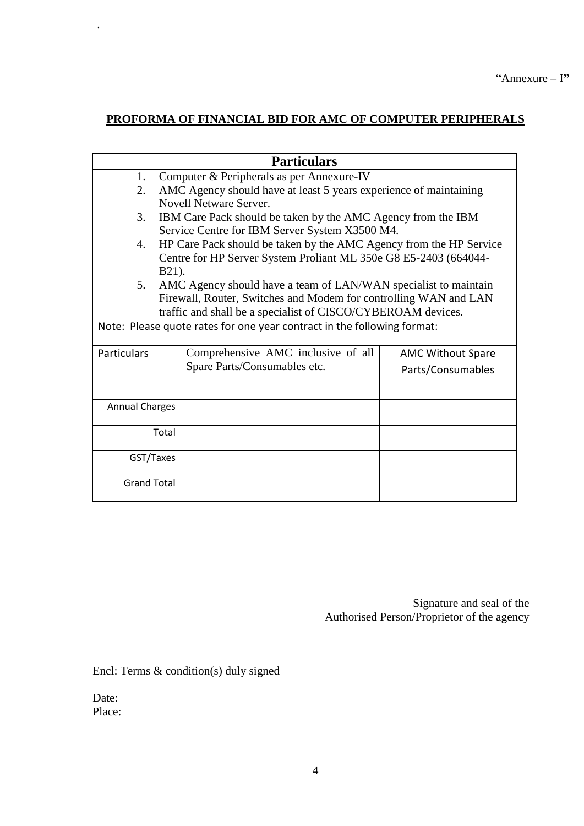# **PROFORMA OF FINANCIAL BID FOR AMC OF COMPUTER PERIPHERALS**

|                                                                         | <b>Particulars</b>                                                 |                                                                   |  |  |  |  |
|-------------------------------------------------------------------------|--------------------------------------------------------------------|-------------------------------------------------------------------|--|--|--|--|
| 1.                                                                      | Computer & Peripherals as per Annexure-IV                          |                                                                   |  |  |  |  |
| 2.                                                                      |                                                                    | AMC Agency should have at least 5 years experience of maintaining |  |  |  |  |
|                                                                         | Novell Netware Server.                                             |                                                                   |  |  |  |  |
| 3.                                                                      | IBM Care Pack should be taken by the AMC Agency from the IBM       |                                                                   |  |  |  |  |
|                                                                         | Service Centre for IBM Server System X3500 M4.                     |                                                                   |  |  |  |  |
| 4.                                                                      | HP Care Pack should be taken by the AMC Agency from the HP Service |                                                                   |  |  |  |  |
|                                                                         | Centre for HP Server System Proliant ML 350e G8 E5-2403 (664044-   |                                                                   |  |  |  |  |
|                                                                         | B21).                                                              |                                                                   |  |  |  |  |
| 5.                                                                      | AMC Agency should have a team of LAN/WAN specialist to maintain    |                                                                   |  |  |  |  |
|                                                                         | Firewall, Router, Switches and Modem for controlling WAN and LAN   |                                                                   |  |  |  |  |
|                                                                         | traffic and shall be a specialist of CISCO/CYBEROAM devices.       |                                                                   |  |  |  |  |
| Note: Please quote rates for one year contract in the following format: |                                                                    |                                                                   |  |  |  |  |
| <b>Particulars</b>                                                      | Comprehensive AMC inclusive of all                                 | <b>AMC Without Spare</b>                                          |  |  |  |  |
|                                                                         | Spare Parts/Consumables etc.                                       | Parts/Consumables                                                 |  |  |  |  |
|                                                                         |                                                                    |                                                                   |  |  |  |  |
|                                                                         |                                                                    |                                                                   |  |  |  |  |
| <b>Annual Charges</b>                                                   |                                                                    |                                                                   |  |  |  |  |
|                                                                         | Total                                                              |                                                                   |  |  |  |  |
|                                                                         |                                                                    |                                                                   |  |  |  |  |
| GST/Taxes                                                               |                                                                    |                                                                   |  |  |  |  |
| <b>Grand Total</b>                                                      |                                                                    |                                                                   |  |  |  |  |

Signature and seal of the Authorised Person/Proprietor of the agency

Encl: Terms & condition(s) duly signed

Date: Place:

.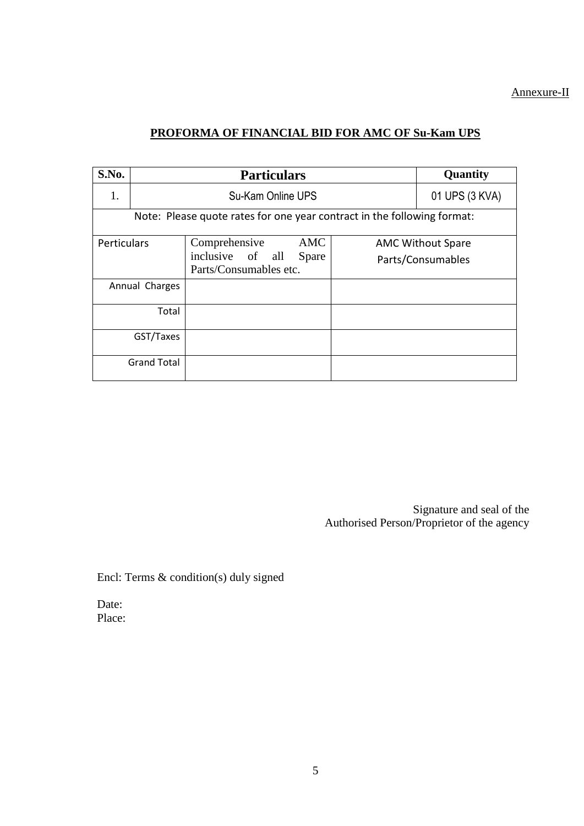## Annexure-II

## **PROFORMA OF FINANCIAL BID FOR AMC OF Su-Kam UPS**

| S.No.                                                                   |                    | <b>Quantity</b>                                                                    |                                               |  |  |
|-------------------------------------------------------------------------|--------------------|------------------------------------------------------------------------------------|-----------------------------------------------|--|--|
| 1.                                                                      |                    | 01 UPS (3 KVA)                                                                     |                                               |  |  |
| Note: Please quote rates for one year contract in the following format: |                    |                                                                                    |                                               |  |  |
| <b>Perticulars</b>                                                      |                    | <b>AMC</b><br>Comprehensive<br>inclusive of all<br>Spare<br>Parts/Consumables etc. | <b>AMC Without Spare</b><br>Parts/Consumables |  |  |
|                                                                         | Annual Charges     |                                                                                    |                                               |  |  |
|                                                                         | Total              |                                                                                    |                                               |  |  |
|                                                                         | GST/Taxes          |                                                                                    |                                               |  |  |
|                                                                         | <b>Grand Total</b> |                                                                                    |                                               |  |  |

Signature and seal of the Authorised Person/Proprietor of the agency

Encl: Terms & condition(s) duly signed

Date: Place: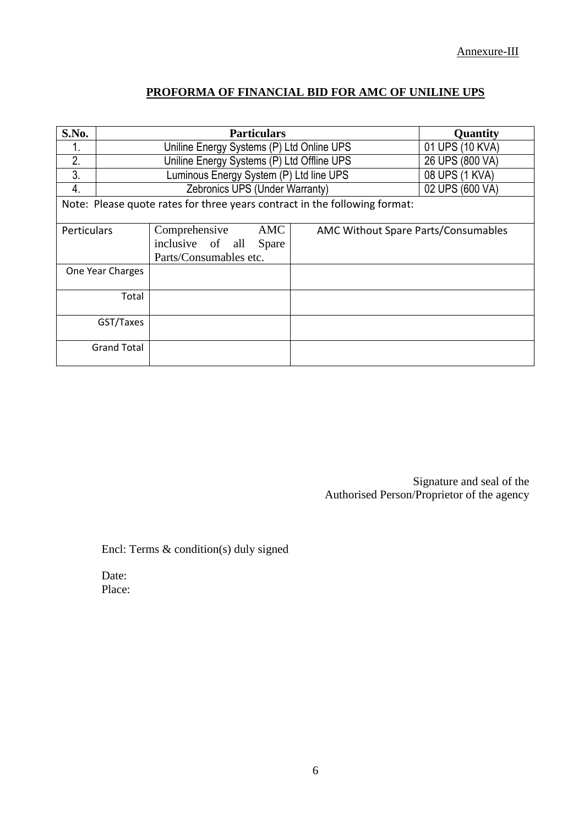## **PROFORMA OF FINANCIAL BID FOR AMC OF UNILINE UPS**

| S.No.                                                                      | <b>Particulars</b>                         |                                                             |  | Quantity        |                                     |  |
|----------------------------------------------------------------------------|--------------------------------------------|-------------------------------------------------------------|--|-----------------|-------------------------------------|--|
|                                                                            | Uniline Energy Systems (P) Ltd Online UPS  |                                                             |  | 01 UPS (10 KVA) |                                     |  |
| 2.                                                                         | Uniline Energy Systems (P) Ltd Offline UPS |                                                             |  |                 | 26 UPS (800 VA)                     |  |
| 3.                                                                         | Luminous Energy System (P) Ltd line UPS    |                                                             |  | 08 UPS (1 KVA)  |                                     |  |
| 4.                                                                         | Zebronics UPS (Under Warranty)             |                                                             |  | 02 UPS (600 VA) |                                     |  |
| Note: Please quote rates for three years contract in the following format: |                                            |                                                             |  |                 |                                     |  |
| Perticulars                                                                |                                            | Comprehensive<br>inclusive of all<br>Parts/Consumables etc. |  | AMC<br>Spare    | AMC Without Spare Parts/Consumables |  |
|                                                                            | One Year Charges                           |                                                             |  |                 |                                     |  |
|                                                                            | Total                                      |                                                             |  |                 |                                     |  |
|                                                                            | GST/Taxes                                  |                                                             |  |                 |                                     |  |
|                                                                            | <b>Grand Total</b>                         |                                                             |  |                 |                                     |  |

Signature and seal of the Authorised Person/Proprietor of the agency

Encl: Terms & condition(s) duly signed

Date: Place: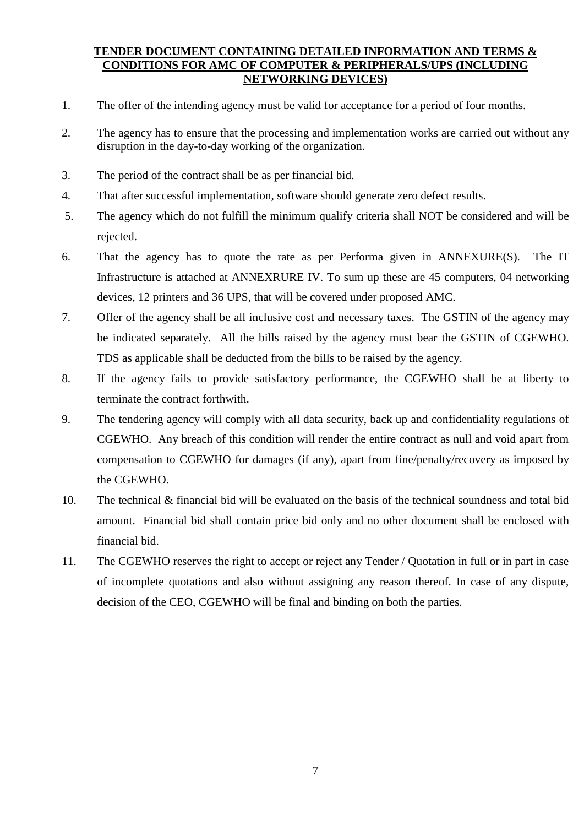#### **TENDER DOCUMENT CONTAINING DETAILED INFORMATION AND TERMS & CONDITIONS FOR AMC OF COMPUTER & PERIPHERALS/UPS (INCLUDING NETWORKING DEVICES)**

- 1. The offer of the intending agency must be valid for acceptance for a period of four months.
- 2. The agency has to ensure that the processing and implementation works are carried out without any disruption in the day-to-day working of the organization.
- 3. The period of the contract shall be as per financial bid.
- 4. That after successful implementation, software should generate zero defect results.
- 5. The agency which do not fulfill the minimum qualify criteria shall NOT be considered and will be rejected.
- 6. That the agency has to quote the rate as per Performa given in ANNEXURE(S). The IT Infrastructure is attached at ANNEXRURE IV. To sum up these are 45 computers, 04 networking devices, 12 printers and 36 UPS, that will be covered under proposed AMC.
- 7. Offer of the agency shall be all inclusive cost and necessary taxes. The GSTIN of the agency may be indicated separately. All the bills raised by the agency must bear the GSTIN of CGEWHO. TDS as applicable shall be deducted from the bills to be raised by the agency.
- 8. If the agency fails to provide satisfactory performance, the CGEWHO shall be at liberty to terminate the contract forthwith.
- 9. The tendering agency will comply with all data security, back up and confidentiality regulations of CGEWHO. Any breach of this condition will render the entire contract as null and void apart from compensation to CGEWHO for damages (if any), apart from fine/penalty/recovery as imposed by the CGEWHO.
- 10. The technical & financial bid will be evaluated on the basis of the technical soundness and total bid amount. Financial bid shall contain price bid only and no other document shall be enclosed with financial bid.
- 11. The CGEWHO reserves the right to accept or reject any Tender / Quotation in full or in part in case of incomplete quotations and also without assigning any reason thereof. In case of any dispute, decision of the CEO, CGEWHO will be final and binding on both the parties.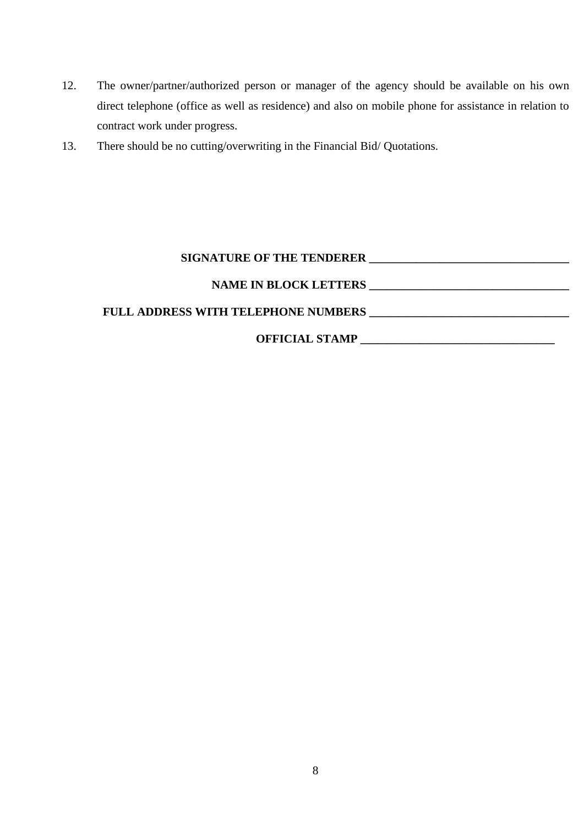- 12. The owner/partner/authorized person or manager of the agency should be available on his own direct telephone (office as well as residence) and also on mobile phone for assistance in relation to contract work under progress.
- 13. There should be no cutting/overwriting in the Financial Bid/ Quotations.

## **SIGNATURE OF THE TENDERER \_\_\_\_\_\_\_\_\_\_\_\_\_\_\_\_\_\_\_\_\_\_\_\_\_\_\_\_\_\_\_\_\_\_**

## **NAME IN BLOCK LETTERS \_\_\_\_\_\_\_\_\_\_\_\_\_\_\_\_\_\_\_\_\_\_\_\_\_\_\_\_\_\_\_\_\_\_**

# **FULL ADDRESS WITH TELEPHONE NUMBERS \_\_\_\_\_\_\_\_\_\_\_\_\_\_\_\_\_\_\_\_\_\_\_\_\_\_\_\_\_\_\_\_\_\_**

# **OFFICIAL STAMP \_\_\_\_\_\_\_\_\_\_\_\_\_\_\_\_\_\_\_\_\_\_\_\_\_\_\_\_\_\_\_\_\_**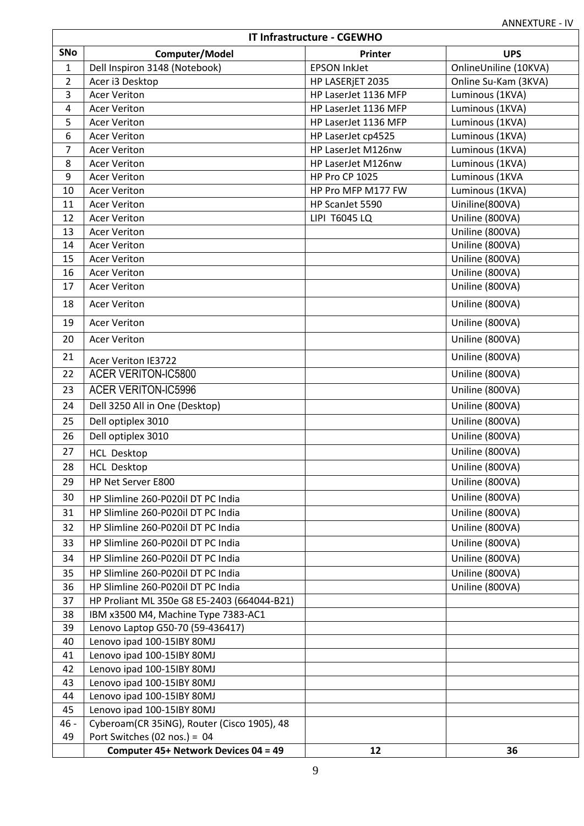| IT Infrastructure - CGEWHO |                                                                          |                       |                                    |  |  |  |
|----------------------------|--------------------------------------------------------------------------|-----------------------|------------------------------------|--|--|--|
| SNo                        | Computer/Model                                                           | Printer               | <b>UPS</b>                         |  |  |  |
| $\mathbf{1}$               | Dell Inspiron 3148 (Notebook)                                            | <b>EPSON InkJet</b>   | OnlineUniline (10KVA)              |  |  |  |
| $\overline{2}$             | Acer i3 Desktop                                                          | HP LASERJET 2035      | Online Su-Kam (3KVA)               |  |  |  |
| 3                          | <b>Acer Veriton</b>                                                      | HP LaserJet 1136 MFP  | Luminous (1KVA)                    |  |  |  |
| 4                          | <b>Acer Veriton</b>                                                      | HP LaserJet 1136 MFP  | Luminous (1KVA)                    |  |  |  |
| 5                          | <b>Acer Veriton</b>                                                      | HP LaserJet 1136 MFP  | Luminous (1KVA)                    |  |  |  |
| 6                          | <b>Acer Veriton</b>                                                      | HP LaserJet cp4525    | Luminous (1KVA)                    |  |  |  |
| 7                          | <b>Acer Veriton</b>                                                      | HP LaserJet M126nw    | Luminous (1KVA)                    |  |  |  |
| 8                          | <b>Acer Veriton</b>                                                      | HP LaserJet M126nw    | Luminous (1KVA)                    |  |  |  |
| 9                          | <b>Acer Veriton</b>                                                      | <b>HP Pro CP 1025</b> | Luminous (1KVA                     |  |  |  |
| 10                         | <b>Acer Veriton</b>                                                      | HP Pro MFP M177 FW    | Luminous (1KVA)                    |  |  |  |
| 11                         | <b>Acer Veriton</b>                                                      | HP ScanJet 5590       | Uiniline(800VA)                    |  |  |  |
| 12                         | <b>Acer Veriton</b>                                                      | LIPI T6045 LQ         | Uniline (800VA)                    |  |  |  |
| 13                         | <b>Acer Veriton</b>                                                      |                       | Uniline (800VA)                    |  |  |  |
| 14                         | <b>Acer Veriton</b><br><b>Acer Veriton</b>                               |                       | Uniline (800VA)                    |  |  |  |
| 15<br>16                   | <b>Acer Veriton</b>                                                      |                       | Uniline (800VA)<br>Uniline (800VA) |  |  |  |
| 17                         | <b>Acer Veriton</b>                                                      |                       | Uniline (800VA)                    |  |  |  |
|                            |                                                                          |                       |                                    |  |  |  |
| 18                         | <b>Acer Veriton</b>                                                      |                       | Uniline (800VA)                    |  |  |  |
| 19                         | <b>Acer Veriton</b>                                                      |                       | Uniline (800VA)                    |  |  |  |
| 20                         | <b>Acer Veriton</b>                                                      |                       | Uniline (800VA)                    |  |  |  |
| 21                         | Acer Veriton IE3722                                                      |                       | Uniline (800VA)                    |  |  |  |
| 22                         | <b>ACER VERITON-IC5800</b>                                               |                       | Uniline (800VA)                    |  |  |  |
| 23                         | <b>ACER VERITON-IC5996</b>                                               |                       | Uniline (800VA)                    |  |  |  |
| 24                         | Dell 3250 All in One (Desktop)                                           |                       | Uniline (800VA)                    |  |  |  |
| 25                         | Dell optiplex 3010                                                       |                       | Uniline (800VA)                    |  |  |  |
| 26                         | Dell optiplex 3010                                                       |                       | Uniline (800VA)                    |  |  |  |
| 27                         | <b>HCL Desktop</b>                                                       |                       | Uniline (800VA)                    |  |  |  |
| 28                         | <b>HCL Desktop</b>                                                       |                       | Uniline (800VA)                    |  |  |  |
| 29                         | HP Net Server E800                                                       |                       | Uniline (800VA)                    |  |  |  |
| 30                         | HP Slimline 260-P020il DT PC India                                       |                       | Uniline (800VA)                    |  |  |  |
| 31                         | HP Slimline 260-P020il DT PC India                                       |                       | Uniline (800VA)                    |  |  |  |
| 32                         | HP Slimline 260-P020il DT PC India                                       |                       | Uniline (800VA)                    |  |  |  |
| 33                         | HP Slimline 260-P020il DT PC India                                       |                       | Uniline (800VA)                    |  |  |  |
| 34                         | HP Slimline 260-P020il DT PC India                                       |                       | Uniline (800VA)                    |  |  |  |
|                            |                                                                          |                       |                                    |  |  |  |
| 35                         | HP Slimline 260-P020il DT PC India<br>HP Slimline 260-P020il DT PC India |                       | Uniline (800VA)<br>Uniline (800VA) |  |  |  |
| 36<br>37                   | HP Proliant ML 350e G8 E5-2403 (664044-B21)                              |                       |                                    |  |  |  |
| 38                         | IBM x3500 M4, Machine Type 7383-AC1                                      |                       |                                    |  |  |  |
| 39                         | Lenovo Laptop G50-70 (59-436417)                                         |                       |                                    |  |  |  |
| 40                         | Lenovo ipad 100-15IBY 80MJ                                               |                       |                                    |  |  |  |
| 41                         | Lenovo ipad 100-15IBY 80MJ                                               |                       |                                    |  |  |  |
| 42                         | Lenovo ipad 100-15IBY 80MJ                                               |                       |                                    |  |  |  |
| 43                         | Lenovo ipad 100-15IBY 80MJ                                               |                       |                                    |  |  |  |
| 44                         | Lenovo ipad 100-15IBY 80MJ                                               |                       |                                    |  |  |  |
| 45                         | Lenovo ipad 100-15IBY 80MJ                                               |                       |                                    |  |  |  |
| 46 -                       | Cyberoam(CR 35iNG), Router (Cisco 1905), 48                              |                       |                                    |  |  |  |
| 49                         | Port Switches (02 nos.) = $04$                                           |                       |                                    |  |  |  |
|                            | Computer 45+ Network Devices 04 = 49                                     | 12                    | 36                                 |  |  |  |